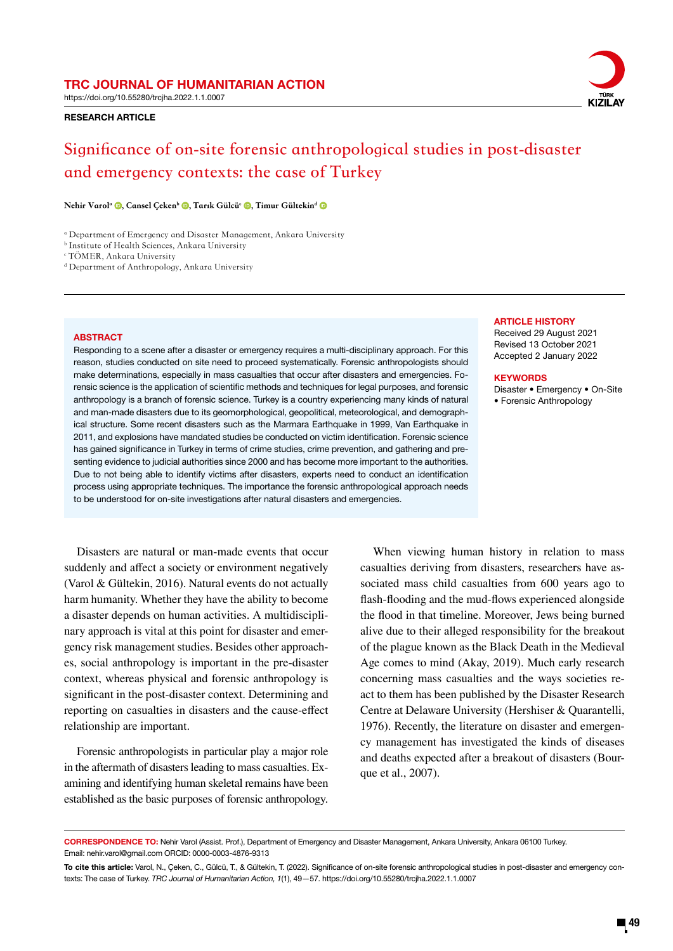https://doi.org/10.55280/trcjha.2022.1.1.0007

# RESEARCH ARTICLE



# **Significance of on-site forensic anthropological studies in post-disaster and emergency contexts: the case of Turkey**

Nehir Varol<sup>a</sup> <sup>(D</sup>, Cansel Çeken<sup>b</sup> <sup>(D</sup>, Tarık Gülcü<sup>c</sup> <sup>(D</sup>, Timur Gültekin<sup>d</sup> (D

a Department of Emergency and Disaster Management, Ankara University

b Institute of Health Sciences, Ankara University

c TÖMER, Ankara University

d Department of Anthropology, Ankara University

# **ABSTRACT**

Responding to a scene after a disaster or emergency requires a multi-disciplinary approach. For this reason, studies conducted on site need to proceed systematically. Forensic anthropologists should make determinations, especially in mass casualties that occur after disasters and emergencies. Forensic science is the application of scientific methods and techniques for legal purposes, and forensic anthropology is a branch of forensic science. Turkey is a country experiencing many kinds of natural and man-made disasters due to its geomorphological, geopolitical, meteorological, and demographical structure. Some recent disasters such as the Marmara Earthquake in 1999, Van Earthquake in 2011, and explosions have mandated studies be conducted on victim identification. Forensic science has gained significance in Turkey in terms of crime studies, crime prevention, and gathering and presenting evidence to judicial authorities since 2000 and has become more important to the authorities. Due to not being able to identify victims after disasters, experts need to conduct an identification process using appropriate techniques. The importance the forensic anthropological approach needs to be understood for on-site investigations after natural disasters and emergencies.

# **ARTICLE HISTORY**

Received 29 August 2021 Revised 13 October 2021 Accepted 2 January 2022

# **KEYWORDS**

Disaster • Emergency • On-Site • Forensic Anthropology

# Disasters are natural or man-made events that occur suddenly and affect a society or environment negatively (Varol & Gültekin, 2016). Natural events do not actually harm humanity. Whether they have the ability to become a disaster depends on human activities. A multidisciplinary approach is vital at this point for disaster and emergency risk management studies. Besides other approaches, social anthropology is important in the pre-disaster context, whereas physical and forensic anthropology is significant in the post-disaster context. Determining and reporting on casualties in disasters and the cause-effect relationship are important.

Forensic anthropologists in particular play a major role in the aftermath of disasters leading to mass casualties. Examining and identifying human skeletal remains have been established as the basic purposes of forensic anthropology.

When viewing human history in relation to mass casualties deriving from disasters, researchers have associated mass child casualties from 600 years ago to flash-flooding and the mud-flows experienced alongside the flood in that timeline. Moreover, Jews being burned alive due to their alleged responsibility for the breakout of the plague known as the Black Death in the Medieval Age comes to mind (Akay, 2019). Much early research concerning mass casualties and the ways societies react to them has been published by the Disaster Research Centre at Delaware University (Hershiser & Quarantelli, 1976). Recently, the literature on disaster and emergency management has investigated the kinds of diseases and deaths expected after a breakout of disasters (Bourque et al., 2007).

CORRESPONDENCE TO: Nehir Varol (Assist. Prof.), Department of Emergency and Disaster Management, Ankara University, Ankara 06100 Turkey. Email: nehir.varol@gmail.com ORCID: 0000-0003-4876-9313

To cite this article: Varol, N., Çeken, C., Gülcü, T., & Gültekin, T. (2022). Significance of on-site forensic anthropological studies in post-disaster and emergency contexts: The case of Turkey. *TRC Journal of Humanitarian Action, 1*(1), 49—57. https://doi.org/10.55280/trcjha.2022.1.1.0007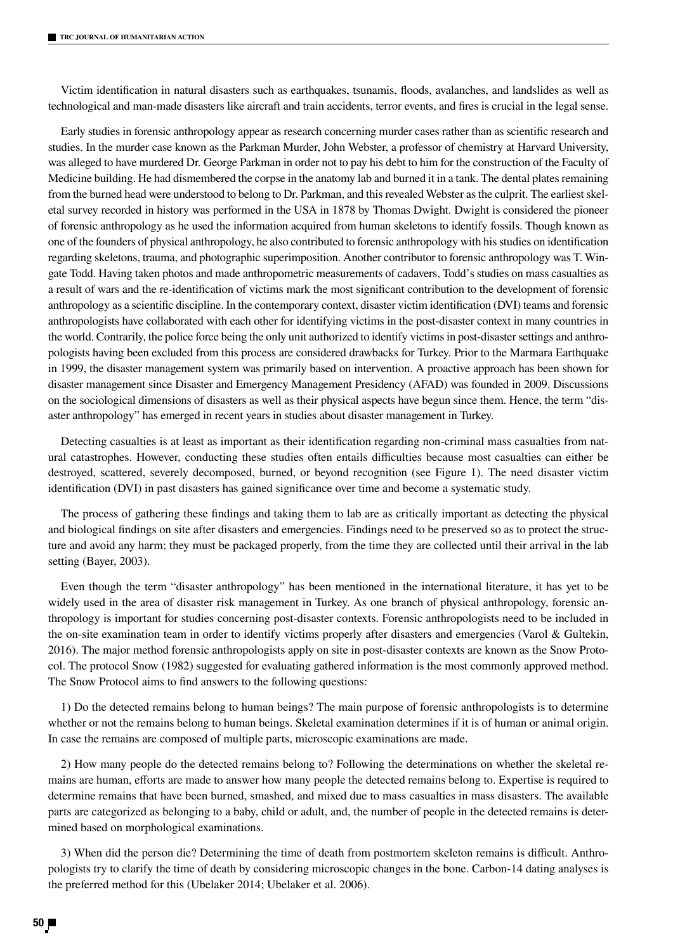Victim identification in natural disasters such as earthquakes, tsunamis, floods, avalanches, and landslides as well as technological and man-made disasters like aircraft and train accidents, terror events, and fires is crucial in the legal sense.

Early studies in forensic anthropology appear as research concerning murder cases rather than as scientific research and studies. In the murder case known as the Parkman Murder, John Webster, a professor of chemistry at Harvard University, was alleged to have murdered Dr. George Parkman in order not to pay his debt to him for the construction of the Faculty of Medicine building. He had dismembered the corpse in the anatomy lab and burned it in a tank. The dental plates remaining from the burned head were understood to belong to Dr. Parkman, and this revealed Webster as the culprit. The earliest skeletal survey recorded in history was performed in the USA in 1878 by Thomas Dwight. Dwight is considered the pioneer of forensic anthropology as he used the information acquired from human skeletons to identify fossils. Though known as one of the founders of physical anthropology, he also contributed to forensic anthropology with his studies on identification regarding skeletons, trauma, and photographic superimposition. Another contributor to forensic anthropology was T. Wingate Todd. Having taken photos and made anthropometric measurements of cadavers, Todd's studies on mass casualties as a result of wars and the re-identification of victims mark the most significant contribution to the development of forensic anthropology as a scientific discipline. In the contemporary context, disaster victim identification (DVI) teams and forensic anthropologists have collaborated with each other for identifying victims in the post-disaster context in many countries in the world. Contrarily, the police force being the only unit authorized to identify victims in post-disaster settings and anthropologists having been excluded from this process are considered drawbacks for Turkey. Prior to the Marmara Earthquake in 1999, the disaster management system was primarily based on intervention. A proactive approach has been shown for disaster management since Disaster and Emergency Management Presidency (AFAD) was founded in 2009. Discussions on the sociological dimensions of disasters as well as their physical aspects have begun since them. Hence, the term "disaster anthropology" has emerged in recent years in studies about disaster management in Turkey.

Detecting casualties is at least as important as their identification regarding non-criminal mass casualties from natural catastrophes. However, conducting these studies often entails difficulties because most casualties can either be destroyed, scattered, severely decomposed, burned, or beyond recognition (see Figure 1). The need disaster victim identification (DVI) in past disasters has gained significance over time and become a systematic study.

The process of gathering these findings and taking them to lab are as critically important as detecting the physical and biological findings on site after disasters and emergencies. Findings need to be preserved so as to protect the structure and avoid any harm; they must be packaged properly, from the time they are collected until their arrival in the lab setting (Bayer, 2003).

Even though the term "disaster anthropology" has been mentioned in the international literature, it has yet to be widely used in the area of disaster risk management in Turkey. As one branch of physical anthropology, forensic anthropology is important for studies concerning post-disaster contexts. Forensic anthropologists need to be included in the on-site examination team in order to identify victims properly after disasters and emergencies (Varol & Gultekin, 2016). The major method forensic anthropologists apply on site in post-disaster contexts are known as the Snow Protocol. The protocol Snow (1982) suggested for evaluating gathered information is the most commonly approved method. The Snow Protocol aims to find answers to the following questions:

1) Do the detected remains belong to human beings? The main purpose of forensic anthropologists is to determine whether or not the remains belong to human beings. Skeletal examination determines if it is of human or animal origin. In case the remains are composed of multiple parts, microscopic examinations are made.

2) How many people do the detected remains belong to? Following the determinations on whether the skeletal remains are human, efforts are made to answer how many people the detected remains belong to. Expertise is required to determine remains that have been burned, smashed, and mixed due to mass casualties in mass disasters. The available parts are categorized as belonging to a baby, child or adult, and, the number of people in the detected remains is determined based on morphological examinations.

3) When did the person die? Determining the time of death from postmortem skeleton remains is difficult. Anthropologists try to clarify the time of death by considering microscopic changes in the bone. Carbon-14 dating analyses is the preferred method for this (Ubelaker 2014; Ubelaker et al. 2006).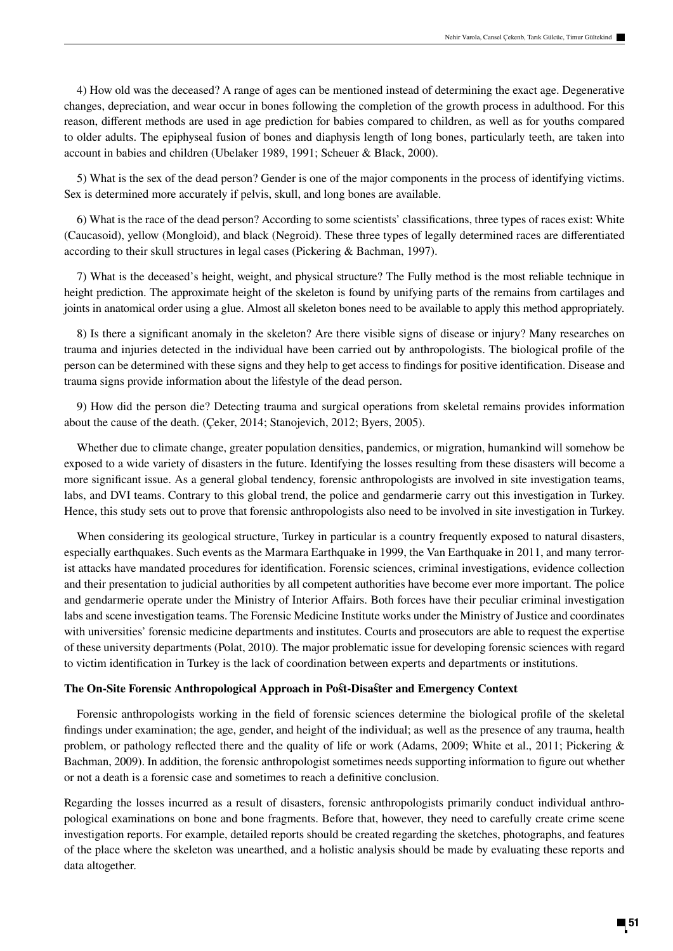4) How old was the deceased? A range of ages can be mentioned instead of determining the exact age. Degenerative changes, depreciation, and wear occur in bones following the completion of the growth process in adulthood. For this reason, different methods are used in age prediction for babies compared to children, as well as for youths compared to older adults. The epiphyseal fusion of bones and diaphysis length of long bones, particularly teeth, are taken into account in babies and children (Ubelaker 1989, 1991; Scheuer & Black, 2000).

5) What is the sex of the dead person? Gender is one of the major components in the process of identifying victims. Sex is determined more accurately if pelvis, skull, and long bones are available.

6) What is the race of the dead person? According to some scientists' classifications, three types of races exist: White (Caucasoid), yellow (Mongloid), and black (Negroid). These three types of legally determined races are differentiated according to their skull structures in legal cases (Pickering & Bachman, 1997).

7) What is the deceased's height, weight, and physical structure? The Fully method is the most reliable technique in height prediction. The approximate height of the skeleton is found by unifying parts of the remains from cartilages and joints in anatomical order using a glue. Almost all skeleton bones need to be available to apply this method appropriately.

8) Is there a significant anomaly in the skeleton? Are there visible signs of disease or injury? Many researches on trauma and injuries detected in the individual have been carried out by anthropologists. The biological profile of the person can be determined with these signs and they help to get access to findings for positive identification. Disease and trauma signs provide information about the lifestyle of the dead person.

9) How did the person die? Detecting trauma and surgical operations from skeletal remains provides information about the cause of the death. (Çeker, 2014; Stanojevich, 2012; Byers, 2005).

Whether due to climate change, greater population densities, pandemics, or migration, humankind will somehow be exposed to a wide variety of disasters in the future. Identifying the losses resulting from these disasters will become a more significant issue. As a general global tendency, forensic anthropologists are involved in site investigation teams, labs, and DVI teams. Contrary to this global trend, the police and gendarmerie carry out this investigation in Turkey. Hence, this study sets out to prove that forensic anthropologists also need to be involved in site investigation in Turkey.

When considering its geological structure, Turkey in particular is a country frequently exposed to natural disasters, especially earthquakes. Such events as the Marmara Earthquake in 1999, the Van Earthquake in 2011, and many terrorist attacks have mandated procedures for identification. Forensic sciences, criminal investigations, evidence collection and their presentation to judicial authorities by all competent authorities have become ever more important. The police and gendarmerie operate under the Ministry of Interior Affairs. Both forces have their peculiar criminal investigation labs and scene investigation teams. The Forensic Medicine Institute works under the Ministry of Justice and coordinates with universities' forensic medicine departments and institutes. Courts and prosecutors are able to request the expertise of these university departments (Polat, 2010). The major problematic issue for developing forensic sciences with regard to victim identification in Turkey is the lack of coordination between experts and departments or institutions.

# **The On-Site Forensic Anthropological Approach in Post-Disaster and Emergency Context**

Forensic anthropologists working in the field of forensic sciences determine the biological profile of the skeletal findings under examination; the age, gender, and height of the individual; as well as the presence of any trauma, health problem, or pathology reflected there and the quality of life or work (Adams, 2009; White et al., 2011; Pickering & Bachman, 2009). In addition, the forensic anthropologist sometimes needs supporting information to figure out whether or not a death is a forensic case and sometimes to reach a definitive conclusion.

Regarding the losses incurred as a result of disasters, forensic anthropologists primarily conduct individual anthropological examinations on bone and bone fragments. Before that, however, they need to carefully create crime scene investigation reports. For example, detailed reports should be created regarding the sketches, photographs, and features of the place where the skeleton was unearthed, and a holistic analysis should be made by evaluating these reports and data altogether.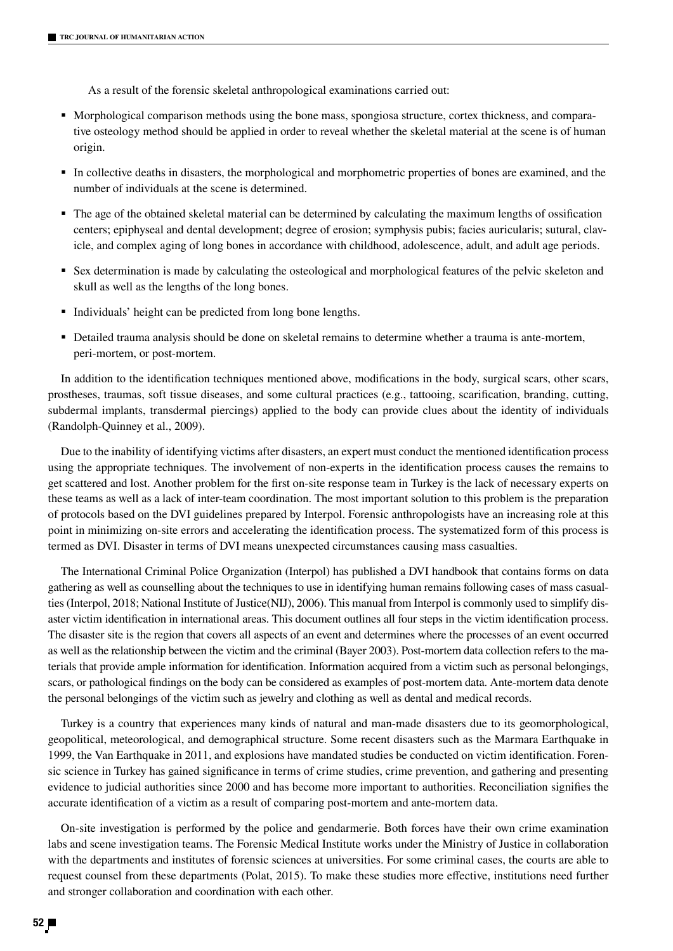As a result of the forensic skeletal anthropological examinations carried out:

- Morphological comparison methods using the bone mass, spongiosa structure, cortex thickness, and comparative osteology method should be applied in order to reveal whether the skeletal material at the scene is of human origin.
- In collective deaths in disasters, the morphological and morphometric properties of bones are examined, and the number of individuals at the scene is determined.
- The age of the obtained skeletal material can be determined by calculating the maximum lengths of ossification centers; epiphyseal and dental development; degree of erosion; symphysis pubis; facies auricularis; sutural, clavicle, and complex aging of long bones in accordance with childhood, adolescence, adult, and adult age periods.
- Sex determination is made by calculating the osteological and morphological features of the pelvic skeleton and skull as well as the lengths of the long bones.
- Individuals' height can be predicted from long bone lengths.
- Detailed trauma analysis should be done on skeletal remains to determine whether a trauma is ante-mortem, peri-mortem, or post-mortem.

In addition to the identification techniques mentioned above, modifications in the body, surgical scars, other scars, prostheses, traumas, soft tissue diseases, and some cultural practices (e.g., tattooing, scarification, branding, cutting, subdermal implants, transdermal piercings) applied to the body can provide clues about the identity of individuals (Randolph-Quinney et al., 2009).

Due to the inability of identifying victims after disasters, an expert must conduct the mentioned identification process using the appropriate techniques. The involvement of non-experts in the identification process causes the remains to get scattered and lost. Another problem for the first on-site response team in Turkey is the lack of necessary experts on these teams as well as a lack of inter-team coordination. The most important solution to this problem is the preparation of protocols based on the DVI guidelines prepared by Interpol. Forensic anthropologists have an increasing role at this point in minimizing on-site errors and accelerating the identification process. The systematized form of this process is termed as DVI. Disaster in terms of DVI means unexpected circumstances causing mass casualties.

The International Criminal Police Organization (Interpol) has published a DVI handbook that contains forms on data gathering as well as counselling about the techniques to use in identifying human remains following cases of mass casualties (Interpol, 2018; National Institute of Justice(NIJ), 2006). This manual from Interpol is commonly used to simplify disaster victim identification in international areas. This document outlines all four steps in the victim identification process. The disaster site is the region that covers all aspects of an event and determines where the processes of an event occurred as well as the relationship between the victim and the criminal (Bayer 2003). Post-mortem data collection refers to the materials that provide ample information for identification. Information acquired from a victim such as personal belongings, scars, or pathological findings on the body can be considered as examples of post-mortem data. Ante-mortem data denote the personal belongings of the victim such as jewelry and clothing as well as dental and medical records.

Turkey is a country that experiences many kinds of natural and man-made disasters due to its geomorphological, geopolitical, meteorological, and demographical structure. Some recent disasters such as the Marmara Earthquake in 1999, the Van Earthquake in 2011, and explosions have mandated studies be conducted on victim identification. Forensic science in Turkey has gained significance in terms of crime studies, crime prevention, and gathering and presenting evidence to judicial authorities since 2000 and has become more important to authorities. Reconciliation signifies the accurate identification of a victim as a result of comparing post-mortem and ante-mortem data.

On-site investigation is performed by the police and gendarmerie. Both forces have their own crime examination labs and scene investigation teams. The Forensic Medical Institute works under the Ministry of Justice in collaboration with the departments and institutes of forensic sciences at universities. For some criminal cases, the courts are able to request counsel from these departments (Polat, 2015). To make these studies more effective, institutions need further and stronger collaboration and coordination with each other.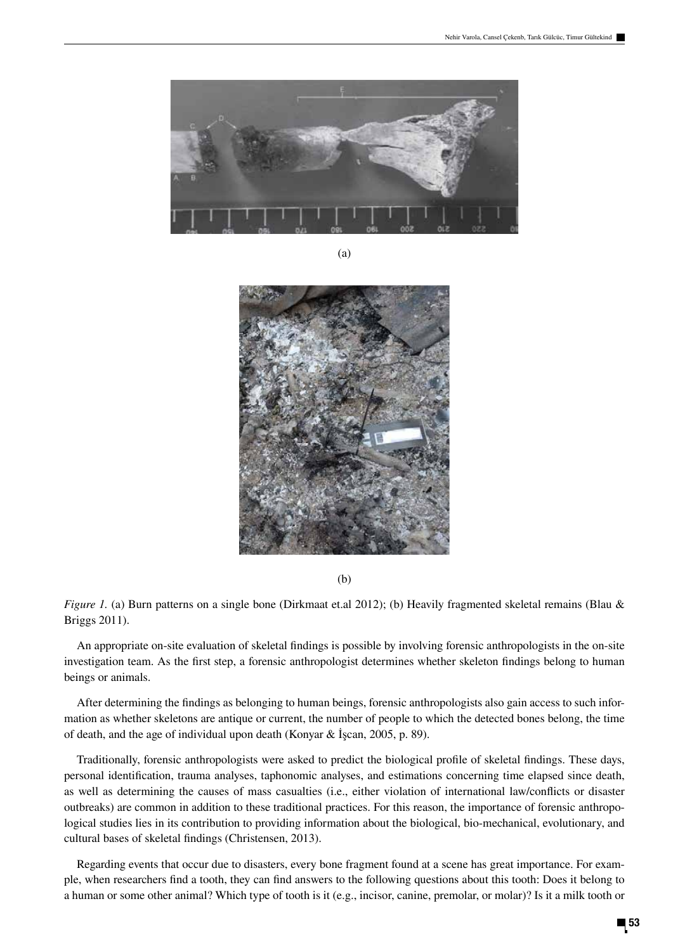

(a)



(b)

*Figure 1.* (a) Burn patterns on a single bone (Dirkmaat et.al 2012); (b) Heavily fragmented skeletal remains (Blau & Briggs 2011).

An appropriate on-site evaluation of skeletal findings is possible by involving forensic anthropologists in the on-site investigation team. As the first step, a forensic anthropologist determines whether skeleton findings belong to human beings or animals.

After determining the findings as belonging to human beings, forensic anthropologists also gain access to such information as whether skeletons are antique or current, the number of people to which the detected bones belong, the time of death, and the age of individual upon death (Konyar & İşcan, 2005, p. 89).

Traditionally, forensic anthropologists were asked to predict the biological profile of skeletal findings. These days, personal identification, trauma analyses, taphonomic analyses, and estimations concerning time elapsed since death, as well as determining the causes of mass casualties (i.e., either violation of international law/conflicts or disaster outbreaks) are common in addition to these traditional practices. For this reason, the importance of forensic anthropological studies lies in its contribution to providing information about the biological, bio-mechanical, evolutionary, and cultural bases of skeletal findings (Christensen, 2013).

Regarding events that occur due to disasters, every bone fragment found at a scene has great importance. For example, when researchers find a tooth, they can find answers to the following questions about this tooth: Does it belong to a human or some other animal? Which type of tooth is it (e.g., incisor, canine, premolar, or molar)? Is it a milk tooth or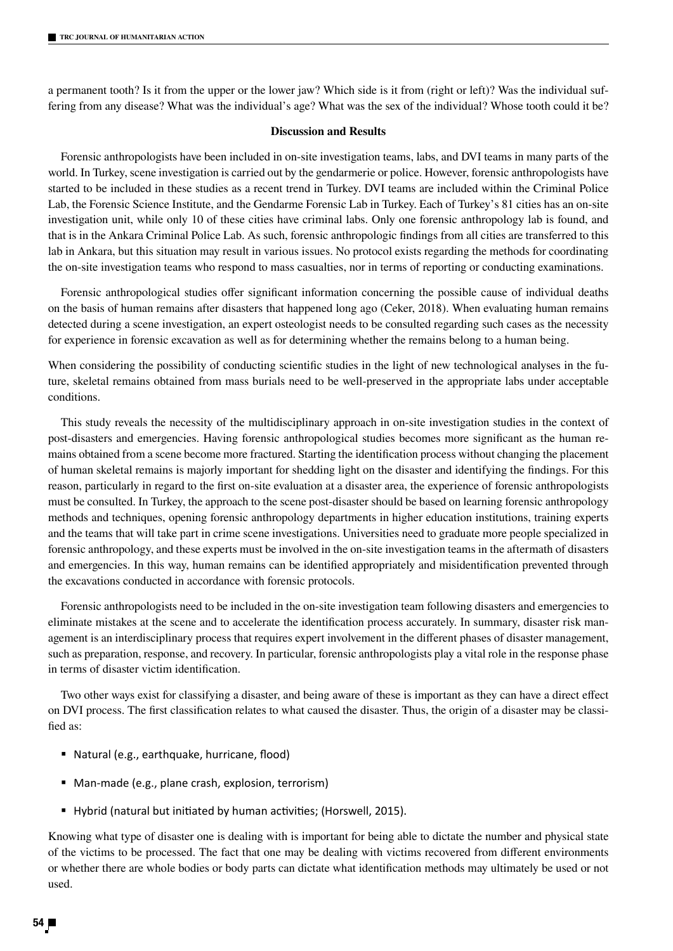a permanent tooth? Is it from the upper or the lower jaw? Which side is it from (right or left)? Was the individual suffering from any disease? What was the individual's age? What was the sex of the individual? Whose tooth could it be?

# **Discussion and Results**

Forensic anthropologists have been included in on-site investigation teams, labs, and DVI teams in many parts of the world. In Turkey, scene investigation is carried out by the gendarmerie or police. However, forensic anthropologists have started to be included in these studies as a recent trend in Turkey. DVI teams are included within the Criminal Police Lab, the Forensic Science Institute, and the Gendarme Forensic Lab in Turkey. Each of Turkey's 81 cities has an on-site investigation unit, while only 10 of these cities have criminal labs. Only one forensic anthropology lab is found, and that is in the Ankara Criminal Police Lab. As such, forensic anthropologic findings from all cities are transferred to this lab in Ankara, but this situation may result in various issues. No protocol exists regarding the methods for coordinating the on-site investigation teams who respond to mass casualties, nor in terms of reporting or conducting examinations.

Forensic anthropological studies offer significant information concerning the possible cause of individual deaths on the basis of human remains after disasters that happened long ago (Ceker, 2018). When evaluating human remains detected during a scene investigation, an expert osteologist needs to be consulted regarding such cases as the necessity for experience in forensic excavation as well as for determining whether the remains belong to a human being.

When considering the possibility of conducting scientific studies in the light of new technological analyses in the future, skeletal remains obtained from mass burials need to be well-preserved in the appropriate labs under acceptable conditions.

This study reveals the necessity of the multidisciplinary approach in on-site investigation studies in the context of post-disasters and emergencies. Having forensic anthropological studies becomes more significant as the human remains obtained from a scene become more fractured. Starting the identification process without changing the placement of human skeletal remains is majorly important for shedding light on the disaster and identifying the findings. For this reason, particularly in regard to the first on-site evaluation at a disaster area, the experience of forensic anthropologists must be consulted. In Turkey, the approach to the scene post-disaster should be based on learning forensic anthropology methods and techniques, opening forensic anthropology departments in higher education institutions, training experts and the teams that will take part in crime scene investigations. Universities need to graduate more people specialized in forensic anthropology, and these experts must be involved in the on-site investigation teams in the aftermath of disasters and emergencies. In this way, human remains can be identified appropriately and misidentification prevented through the excavations conducted in accordance with forensic protocols.

Forensic anthropologists need to be included in the on-site investigation team following disasters and emergencies to eliminate mistakes at the scene and to accelerate the identification process accurately. In summary, disaster risk management is an interdisciplinary process that requires expert involvement in the different phases of disaster management, such as preparation, response, and recovery. In particular, forensic anthropologists play a vital role in the response phase in terms of disaster victim identification.

Two other ways exist for classifying a disaster, and being aware of these is important as they can have a direct effect on DVI process. The first classification relates to what caused the disaster. Thus, the origin of a disaster may be classified as:

- Natural (e.g., earthquake, hurricane, flood)
- Man-made (e.g., plane crash, explosion, terrorism)
- Hybrid (natural but initiated by human activities; (Horswell, 2015).

Knowing what type of disaster one is dealing with is important for being able to dictate the number and physical state of the victims to be processed. The fact that one may be dealing with victims recovered from different environments or whether there are whole bodies or body parts can dictate what identification methods may ultimately be used or not used.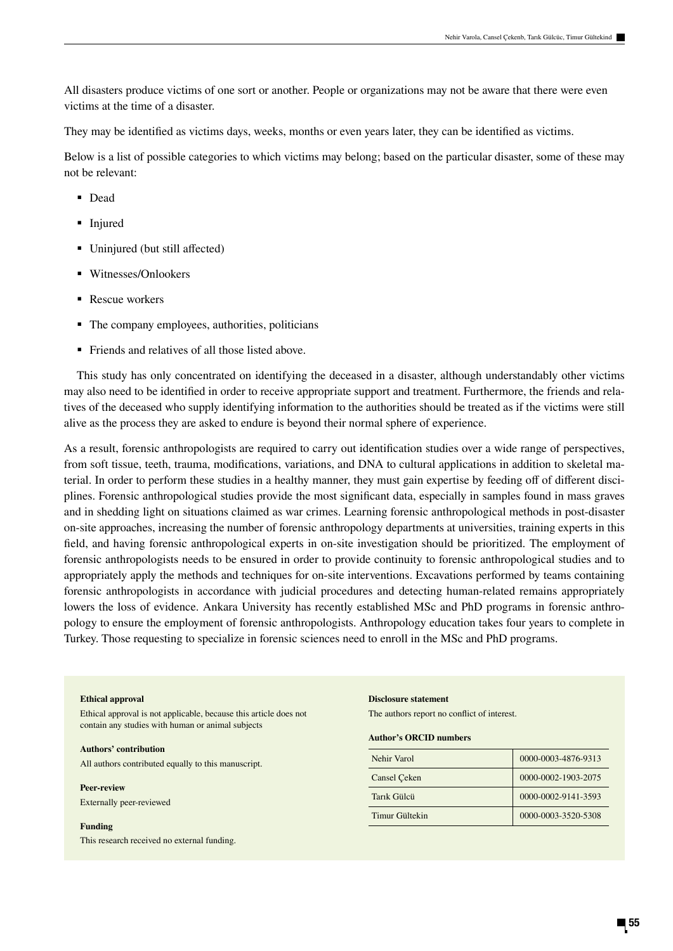All disasters produce victims of one sort or another. People or organizations may not be aware that there were even victims at the time of a disaster.

They may be identified as victims days, weeks, months or even years later, they can be identified as victims.

Below is a list of possible categories to which victims may belong; based on the particular disaster, some of these may not be relevant:

- Dead
- **Injured**
- Uninjured (but still affected)
- Witnesses/Onlookers
- Rescue workers
- The company employees, authorities, politicians
- Friends and relatives of all those listed above.

This study has only concentrated on identifying the deceased in a disaster, although understandably other victims may also need to be identified in order to receive appropriate support and treatment. Furthermore, the friends and relatives of the deceased who supply identifying information to the authorities should be treated as if the victims were still alive as the process they are asked to endure is beyond their normal sphere of experience.

As a result, forensic anthropologists are required to carry out identification studies over a wide range of perspectives, from soft tissue, teeth, trauma, modifications, variations, and DNA to cultural applications in addition to skeletal material. In order to perform these studies in a healthy manner, they must gain expertise by feeding off of different disciplines. Forensic anthropological studies provide the most significant data, especially in samples found in mass graves and in shedding light on situations claimed as war crimes. Learning forensic anthropological methods in post-disaster on-site approaches, increasing the number of forensic anthropology departments at universities, training experts in this field, and having forensic anthropological experts in on-site investigation should be prioritized. The employment of forensic anthropologists needs to be ensured in order to provide continuity to forensic anthropological studies and to appropriately apply the methods and techniques for on-site interventions. Excavations performed by teams containing forensic anthropologists in accordance with judicial procedures and detecting human-related remains appropriately lowers the loss of evidence. Ankara University has recently established MSc and PhD programs in forensic anthropology to ensure the employment of forensic anthropologists. Anthropology education takes four years to complete in Turkey. Those requesting to specialize in forensic sciences need to enroll in the MSc and PhD programs.

#### **Ethical approval**

Ethical approval is not applicable, because this article does not contain any studies with human or animal subjects

#### **Authors' contribution**

All authors contributed equally to this manuscript.

#### **Peer-review**

Externally peer-reviewed

#### **Funding**

This research received no external funding.

#### **Disclosure statement**

The authors report no conflict of interest.

#### **Author's ORCID numbers**

| Nehir Varol    | 0000-0003-4876-9313 |
|----------------|---------------------|
| Cansel Ceken   | 0000-0002-1903-2075 |
| Tarik Gülcü    | 0000-0002-9141-3593 |
| Timur Gültekin | 0000-0003-3520-5308 |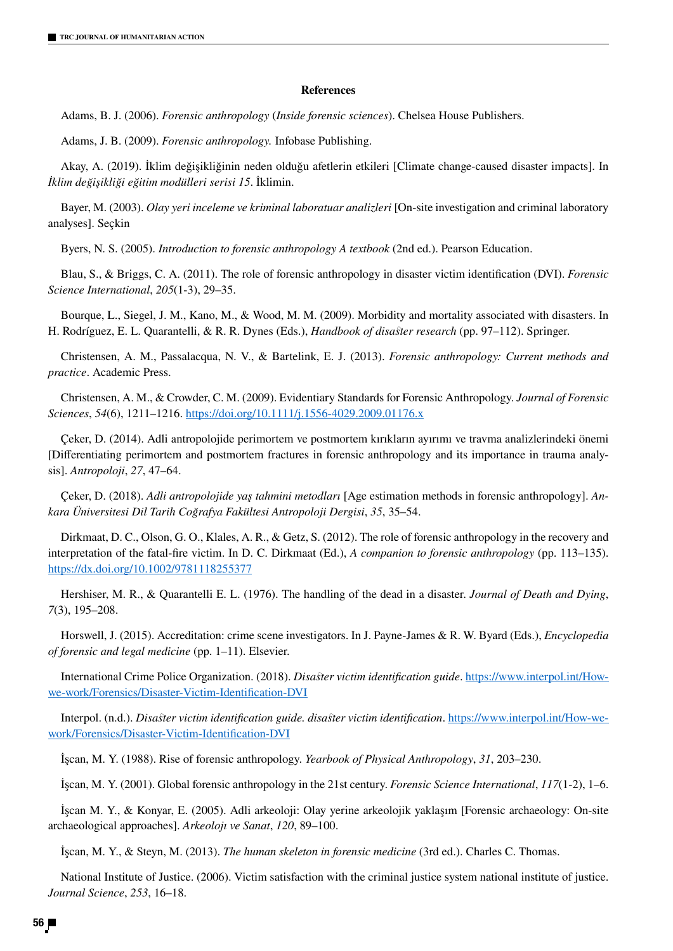# **References**

Adams, B. J. (2006). *Forensic anthropology* (*Inside forensic sciences*). Chelsea House Publishers.

Adams, J. B. (2009). *Forensic anthropology.* Infobase Publishing.

Akay, A. (2019). İklim değişikliğinin neden olduğu afetlerin etkileri [Climate change-caused disaster impacts]. In *İklim değişikliği eğitim modülleri serisi 15*. İklimin.

Bayer, M. (2003). *Olay yeri inceleme ve kriminal laboratuar analizleri* [On-site investigation and criminal laboratory analyses]. Seçkin

Byers, N. S. (2005). *Introduction to forensic anthropology A textbook* (2nd ed.). Pearson Education.

Blau, S., & Briggs, C. A. (2011). The role of forensic anthropology in disaster victim identification (DVI). *Forensic Science International*, *205*(1-3), 29–35.

Bourque, L., Siegel, J. M., Kano, M., & Wood, M. M. (2009). Morbidity and mortality associated with disasters. In H. Rodríguez, E. L. Quarantelli, & R. R. Dynes (Eds.), *Handbook of disaster research* (pp. 97–112). Springer.

Christensen, A. M., Passalacqua, N. V., & Bartelink, E. J. (2013). *Forensic anthropology: Current methods and practice*. Academic Press.

Christensen, A. M., & Crowder, C. M. (2009). Evidentiary Standards for Forensic Anthropology. *Journal of Forensic Sciences*, *54*(6), 1211–1216. https://doi.org/10.1111/j.1556-4029.2009.01176.x

Çeker, D. (2014). Adli antropolojide perimortem ve postmortem kırıkların ayırımı ve travma analizlerindeki önemi [Differentiating perimortem and postmortem fractures in forensic anthropology and its importance in trauma analysis]. *Antropoloji*, *27*, 47–64.

Çeker, D. (2018). *Adli antropolojide yaş tahmini metodları* [Age estimation methods in forensic anthropology]. *Ankara Üniversitesi Dil Tarih Coğrafya Fakültesi Antropoloji Dergisi*, *35*, 35–54.

Dirkmaat, D. C., Olson, G. O., Klales, A. R., & Getz, S. (2012). The role of forensic anthropology in the recovery and interpretation of the fatal-fire victim. In D. C. Dirkmaat (Ed.), *A companion to forensic anthropology* (pp. 113–135). https://dx.doi.org/10.1002/9781118255377

Hershiser, M. R., & Quarantelli E. L. (1976). The handling of the dead in a disaster. *Journal of Death and Dying*, *7*(3), 195–208.

Horswell, J. (2015). Accreditation: crime scene investigators. In J. Payne-James & R. W. Byard (Eds.), *Encyclopedia of forensic and legal medicine* (pp. 1–11). Elsevier.

International Crime Police Organization. (2018). *Disaster victim identification guide*. https://www.interpol.int/Howwe-work/Forensics/Disaster-Victim-Identification-DVI

Interpol. (n.d.). *Disaster victim identification guide. disaster victim identification*. https://www.interpol.int/How-wework/Forensics/Disaster-Victim-Identification-DVI

İşcan, M. Y. (1988). Rise of forensic anthropology. *Yearbook of Physical Anthropology*, *31*, 203–230.

İşcan, M. Y. (2001). Global forensic anthropology in the 21st century. *Forensic Science International*, *117*(1-2), 1–6.

İşcan M. Y., & Konyar, E. (2005). Adli arkeoloji: Olay yerine arkeolojik yaklaşım [Forensic archaeology: On-site archaeological approaches]. *Arkeolojı ve Sanat*, *120*, 89–100.

İşcan, M. Y., & Steyn, M. (2013). *The human skeleton in forensic medicine* (3rd ed.). Charles C. Thomas.

National Institute of Justice. (2006). Victim satisfaction with the criminal justice system national institute of justice. *Journal Science*, *253*, 16–18.